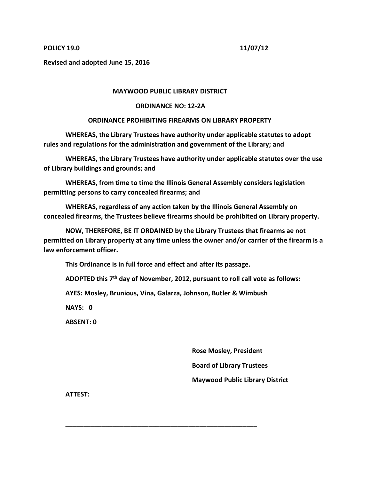## **POLICY 19.0 11/07/12**

**Revised and adopted June 15, 2016**

## **MAYWOOD PUBLIC LIBRARY DISTRICT**

## **ORDINANCE NO: 12-2A**

## **ORDINANCE PROHIBITING FIREARMS ON LIBRARY PROPERTY**

**WHEREAS, the Library Trustees have authority under applicable statutes to adopt rules and regulations for the administration and government of the Library; and**

**WHEREAS, the Library Trustees have authority under applicable statutes over the use of Library buildings and grounds; and**

**WHEREAS, from time to time the Illinois General Assembly considers legislation permitting persons to carry concealed firearms; and**

**WHEREAS, regardless of any action taken by the Illinois General Assembly on concealed firearms, the Trustees believe firearms should be prohibited on Library property.**

**NOW, THEREFORE, BE IT ORDAINED by the Library Trustees that firearms ae not permitted on Library property at any time unless the owner and/or carrier of the firearm is a law enforcement officer.**

**This Ordinance is in full force and effect and after its passage.**

**ADOPTED this 7th day of November, 2012, pursuant to roll call vote as follows:**

**AYES: Mosley, Brunious, Vina, Galarza, Johnson, Butler & Wimbush**

**\_\_\_\_\_\_\_\_\_\_\_\_\_\_\_\_\_\_\_\_\_\_\_\_\_\_\_\_\_\_\_\_\_\_\_\_\_\_\_\_\_\_\_\_\_\_\_\_\_\_\_\_\_**

**NAYS: 0**

**ABSENT: 0**

 **Rose Mosley, President Board of Library Trustees Maywood Public Library District**

**ATTEST:**